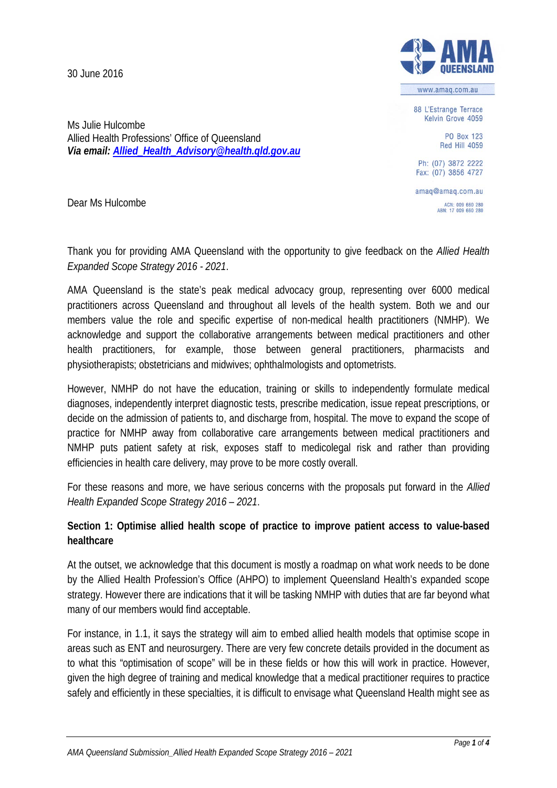30 June 2016



www.amag.com.au

88 L'Estrange Terrace Kelvin Grove 4059

> PO Box 123 **Red Hill 4059**

Ph: (07) 3872 2222 Fax: (07) 3856 4727

amaq@amaq.com.au ACN: 009 660 280<br>ABN: 17 009 660 280

Dear Ms Hulcombe

Ms Julie Hulcombe

Allied Health Professions' Office of Queensland

*Via email[: Allied\\_Health\\_Advisory@health.qld.gov.au](mailto:Allied_Health_Advisory@health.qld.gov.au)*

Thank you for providing AMA Queensland with the opportunity to give feedback on the *Allied Health Expanded Scope Strategy 2016 - 2021*.

AMA Queensland is the state's peak medical advocacy group, representing over 6000 medical practitioners across Queensland and throughout all levels of the health system. Both we and our members value the role and specific expertise of non-medical health practitioners (NMHP). We acknowledge and support the collaborative arrangements between medical practitioners and other health practitioners, for example, those between general practitioners, pharmacists and physiotherapists; obstetricians and midwives; ophthalmologists and optometrists.

However, NMHP do not have the education, training or skills to independently formulate medical diagnoses, independently interpret diagnostic tests, prescribe medication, issue repeat prescriptions, or decide on the admission of patients to, and discharge from, hospital. The move to expand the scope of practice for NMHP away from collaborative care arrangements between medical practitioners and NMHP puts patient safety at risk, exposes staff to medicolegal risk and rather than providing efficiencies in health care delivery, may prove to be more costly overall.

For these reasons and more, we have serious concerns with the proposals put forward in the *Allied Health Expanded Scope Strategy 2016 – 2021*.

# **Section 1: Optimise allied health scope of practice to improve patient access to value-based healthcare**

At the outset, we acknowledge that this document is mostly a roadmap on what work needs to be done by the Allied Health Profession's Office (AHPO) to implement Queensland Health's expanded scope strategy. However there are indications that it will be tasking NMHP with duties that are far beyond what many of our members would find acceptable.

For instance, in 1.1, it says the strategy will aim to embed allied health models that optimise scope in areas such as ENT and neurosurgery. There are very few concrete details provided in the document as to what this "optimisation of scope" will be in these fields or how this will work in practice. However, given the high degree of training and medical knowledge that a medical practitioner requires to practice safely and efficiently in these specialties, it is difficult to envisage what Queensland Health might see as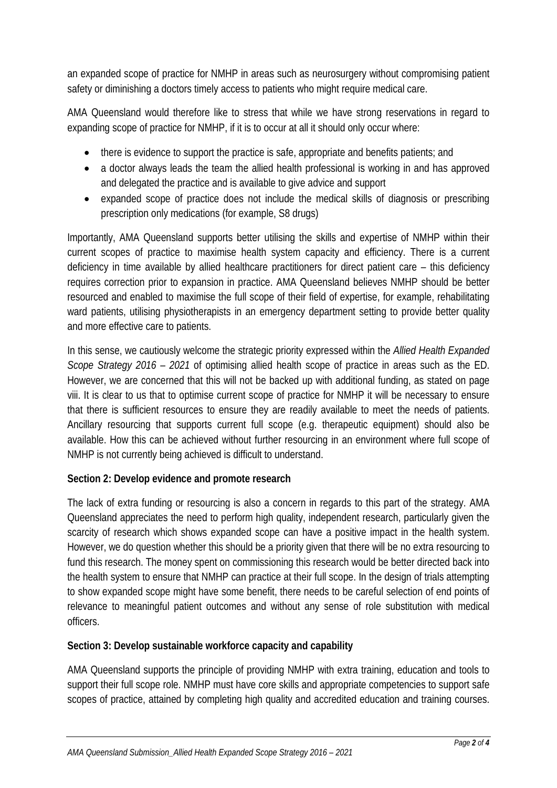an expanded scope of practice for NMHP in areas such as neurosurgery without compromising patient safety or diminishing a doctors timely access to patients who might require medical care.

AMA Queensland would therefore like to stress that while we have strong reservations in regard to expanding scope of practice for NMHP, if it is to occur at all it should only occur where:

- there is evidence to support the practice is safe, appropriate and benefits patients; and
- a doctor always leads the team the allied health professional is working in and has approved and delegated the practice and is available to give advice and support
- expanded scope of practice does not include the medical skills of diagnosis or prescribing prescription only medications (for example, S8 drugs)

Importantly, AMA Queensland supports better utilising the skills and expertise of NMHP within their current scopes of practice to maximise health system capacity and efficiency. There is a current deficiency in time available by allied healthcare practitioners for direct patient care – this deficiency requires correction prior to expansion in practice. AMA Queensland believes NMHP should be better resourced and enabled to maximise the full scope of their field of expertise, for example, rehabilitating ward patients, utilising physiotherapists in an emergency department setting to provide better quality and more effective care to patients.

In this sense, we cautiously welcome the strategic priority expressed within the *Allied Health Expanded Scope Strategy 2016 – 2021* of optimising allied health scope of practice in areas such as the ED. However, we are concerned that this will not be backed up with additional funding, as stated on page viii. It is clear to us that to optimise current scope of practice for NMHP it will be necessary to ensure that there is sufficient resources to ensure they are readily available to meet the needs of patients. Ancillary resourcing that supports current full scope (e.g. therapeutic equipment) should also be available. How this can be achieved without further resourcing in an environment where full scope of NMHP is not currently being achieved is difficult to understand.

# **Section 2: Develop evidence and promote research**

The lack of extra funding or resourcing is also a concern in regards to this part of the strategy. AMA Queensland appreciates the need to perform high quality, independent research, particularly given the scarcity of research which shows expanded scope can have a positive impact in the health system. However, we do question whether this should be a priority given that there will be no extra resourcing to fund this research. The money spent on commissioning this research would be better directed back into the health system to ensure that NMHP can practice at their full scope. In the design of trials attempting to show expanded scope might have some benefit, there needs to be careful selection of end points of relevance to meaningful patient outcomes and without any sense of role substitution with medical officers.

# **Section 3: Develop sustainable workforce capacity and capability**

AMA Queensland supports the principle of providing NMHP with extra training, education and tools to support their full scope role. NMHP must have core skills and appropriate competencies to support safe scopes of practice, attained by completing high quality and accredited education and training courses.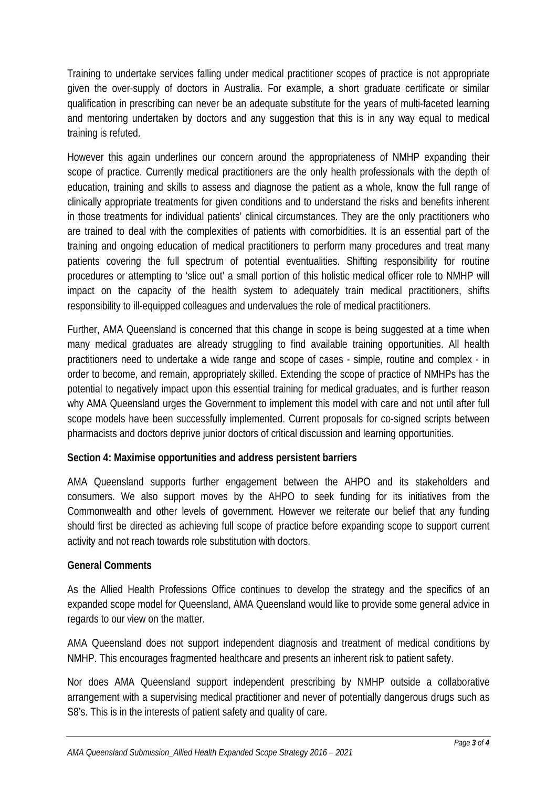Training to undertake services falling under medical practitioner scopes of practice is not appropriate given the over-supply of doctors in Australia. For example, a short graduate certificate or similar qualification in prescribing can never be an adequate substitute for the years of multi-faceted learning and mentoring undertaken by doctors and any suggestion that this is in any way equal to medical training is refuted.

However this again underlines our concern around the appropriateness of NMHP expanding their scope of practice. Currently medical practitioners are the only health professionals with the depth of education, training and skills to assess and diagnose the patient as a whole, know the full range of clinically appropriate treatments for given conditions and to understand the risks and benefits inherent in those treatments for individual patients' clinical circumstances. They are the only practitioners who are trained to deal with the complexities of patients with comorbidities. It is an essential part of the training and ongoing education of medical practitioners to perform many procedures and treat many patients covering the full spectrum of potential eventualities. Shifting responsibility for routine procedures or attempting to 'slice out' a small portion of this holistic medical officer role to NMHP will impact on the capacity of the health system to adequately train medical practitioners, shifts responsibility to ill-equipped colleagues and undervalues the role of medical practitioners.

Further, AMA Queensland is concerned that this change in scope is being suggested at a time when many medical graduates are already struggling to find available training opportunities. All health practitioners need to undertake a wide range and scope of cases - simple, routine and complex - in order to become, and remain, appropriately skilled. Extending the scope of practice of NMHPs has the potential to negatively impact upon this essential training for medical graduates, and is further reason why AMA Queensland urges the Government to implement this model with care and not until after full scope models have been successfully implemented. Current proposals for co-signed scripts between pharmacists and doctors deprive junior doctors of critical discussion and learning opportunities.

# **Section 4: Maximise opportunities and address persistent barriers**

AMA Queensland supports further engagement between the AHPO and its stakeholders and consumers. We also support moves by the AHPO to seek funding for its initiatives from the Commonwealth and other levels of government. However we reiterate our belief that any funding should first be directed as achieving full scope of practice before expanding scope to support current activity and not reach towards role substitution with doctors.

# **General Comments**

As the Allied Health Professions Office continues to develop the strategy and the specifics of an expanded scope model for Queensland, AMA Queensland would like to provide some general advice in regards to our view on the matter.

AMA Queensland does not support independent diagnosis and treatment of medical conditions by NMHP. This encourages fragmented healthcare and presents an inherent risk to patient safety.

Nor does AMA Queensland support independent prescribing by NMHP outside a collaborative arrangement with a supervising medical practitioner and never of potentially dangerous drugs such as S8's. This is in the interests of patient safety and quality of care.